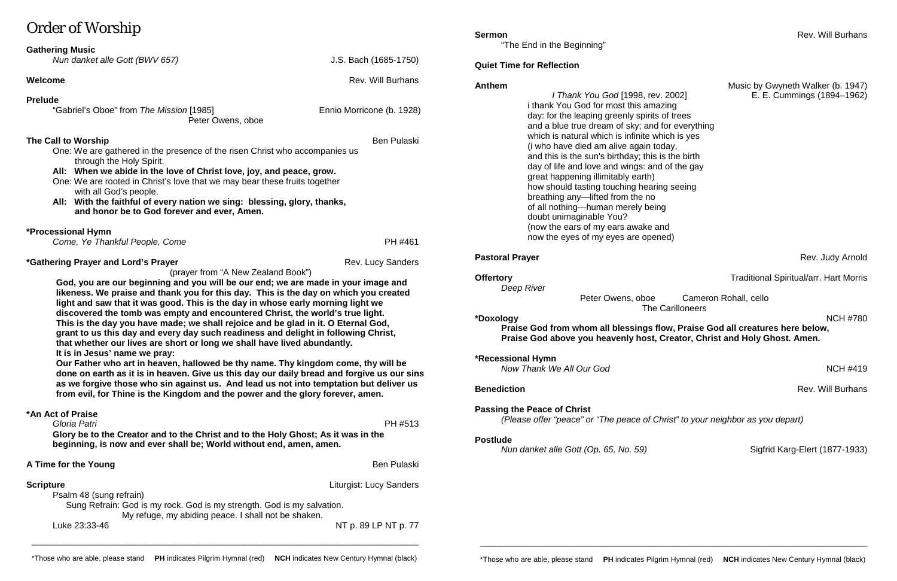# Order of Worship

| $21401$ or $11011$                                                                                                                                                                                                                                                                                                                                                                                                                                                                                                                                                                                                                                                                                                                                                                                                                                                                                                                                                                                                                                                                                                   |                                |
|----------------------------------------------------------------------------------------------------------------------------------------------------------------------------------------------------------------------------------------------------------------------------------------------------------------------------------------------------------------------------------------------------------------------------------------------------------------------------------------------------------------------------------------------------------------------------------------------------------------------------------------------------------------------------------------------------------------------------------------------------------------------------------------------------------------------------------------------------------------------------------------------------------------------------------------------------------------------------------------------------------------------------------------------------------------------------------------------------------------------|--------------------------------|
| <b>Gathering Music</b><br>Nun danket alle Gott (BWV 657)                                                                                                                                                                                                                                                                                                                                                                                                                                                                                                                                                                                                                                                                                                                                                                                                                                                                                                                                                                                                                                                             | J.S. Bach (1685-1750)          |
| <b>Welcome</b>                                                                                                                                                                                                                                                                                                                                                                                                                                                                                                                                                                                                                                                                                                                                                                                                                                                                                                                                                                                                                                                                                                       | <b>Rev. Will Burhans</b>       |
| <b>Prelude</b><br>"Gabriel's Oboe" from The Mission [1985]<br>Peter Owens, oboe                                                                                                                                                                                                                                                                                                                                                                                                                                                                                                                                                                                                                                                                                                                                                                                                                                                                                                                                                                                                                                      | Ennio Morricone (b. 1928)      |
| <b>Ben Pulaski</b><br>The Call to Worship<br>One: We are gathered in the presence of the risen Christ who accompanies us<br>through the Holy Spirit.<br>All: When we abide in the love of Christ love, joy, and peace, grow.<br>One: We are rooted in Christ's love that we may bear these fruits together<br>with all God's people.<br>All: With the faithful of every nation we sing: blessing, glory, thanks,<br>and honor be to God forever and ever, Amen.                                                                                                                                                                                                                                                                                                                                                                                                                                                                                                                                                                                                                                                      |                                |
| *Processional Hymn<br>Come, Ye Thankful People, Come                                                                                                                                                                                                                                                                                                                                                                                                                                                                                                                                                                                                                                                                                                                                                                                                                                                                                                                                                                                                                                                                 | PH #461                        |
| <i>*Gathering Prayer and Lord's Prayer</i><br><b>Rev. Lucy Sanders</b><br>(prayer from "A New Zealand Book")<br>God, you are our beginning and you will be our end; we are made in your image and<br>likeness. We praise and thank you for this day. This is the day on which you created<br>light and saw that it was good. This is the day in whose early morning light we<br>discovered the tomb was empty and encountered Christ, the world's true light.<br>This is the day you have made; we shall rejoice and be glad in it. O Eternal God,<br>grant to us this day and every day such readiness and delight in following Christ,<br>that whether our lives are short or long we shall have lived abundantly.<br>It is in Jesus' name we pray:<br>Our Father who art in heaven, hallowed be thy name. Thy kingdom come, thy will be<br>done on earth as it is in heaven. Give us this day our daily bread and forgive us our sins<br>as we forgive those who sin against us. And lead us not into temptation but deliver us<br>from evil, for Thine is the Kingdom and the power and the glory forever, amen. |                                |
| *An Act of Praise<br>Gloria Patri<br>PH #513<br>Glory be to the Creator and to the Christ and to the Holy Ghost; As it was in the<br>beginning, is now and ever shall be; World without end, amen, amen.                                                                                                                                                                                                                                                                                                                                                                                                                                                                                                                                                                                                                                                                                                                                                                                                                                                                                                             |                                |
| A Time for the Young                                                                                                                                                                                                                                                                                                                                                                                                                                                                                                                                                                                                                                                                                                                                                                                                                                                                                                                                                                                                                                                                                                 | <b>Ben Pulaski</b>             |
| <b>Scripture</b><br>Psalm 48 (sung refrain)<br>Sung Refrain: God is my rock. God is my strength. God is my salvation.                                                                                                                                                                                                                                                                                                                                                                                                                                                                                                                                                                                                                                                                                                                                                                                                                                                                                                                                                                                                | <b>Liturgist: Lucy Sanders</b> |

My refuge, my abiding peace. I shall not be shaken.

Luke 23:33-46 NT p. 89 LP NT p. 77

# **Quiet Time for Reflection**

 *I Thank You God* [1998, rev. 2002] E. E. Cummings (1894–1962) i thank You God for most this amazing day: for the leaping greenly spirits of trees and a blue true dream of sky; and for everything which is natural which is infinite which is yes (i who have died am alive again today, and this is the sun's birthday; this is the birth day of life and love and wings: and of the gay great happening illimitably earth) how should tasting touching hearing seeing breathing any—lifted from the no of all nothing—human merely being doubt unimaginable You? (now the ears of my ears awake and now the eyes of my eyes are opened)

*Deep River*

### Peter Owens, oboe Cameron Rohall, cello The Carilloneers

**Benediction** Rev. Will Burhans

## **\*Doxology** NCH #780

**Praise God from whom all blessings flow, Praise God all creatures here below, Praise God above you heavenly host, Creator, Christ and Holy Ghost. Amen.**

**\*Recessional Hymn** 

*Now Thank We All Our God* New York 2012 12:00 NOME #419 NOH #419

# **Passing the Peace of Christ**

*(Please offer "peace" or "The peace of Christ" to your neighbor as you depart)*

## **Postlude**

*Nun danket alle Gott (Op. 65, No. 59)* Sigfrid Karg-Elert (1877-1933)

\_\_\_\_\_\_\_\_\_\_\_\_\_\_\_\_\_\_\_\_\_\_\_\_\_\_\_\_\_\_\_\_\_\_\_\_\_\_\_\_\_\_\_\_\_\_\_\_\_\_\_\_\_\_\_\_\_\_\_\_\_\_\_\_\_\_\_\_\_\_\_\_\_\_\_\_\_\_\_\_\_\_\_\_\_\_\_\_\_\_\_\_\_\_\_

# **Anthem Music by Gwyneth Walker (b. 1947)** Music by Gwyneth Walker (b. 1947)

**Pastoral Prayer** Rev. Judy Arnold **Prayer** Rev. Judy Arnold Rev. Judy Arnold

## **Offertory Contract Contract Contract Contract Contract Contract Contract Contract Contract Contract Contract Contract Contract Contract Contract Contract Contract Contract Contract Contract Contract Contract Contract Co**

\_\_\_\_\_\_\_\_\_\_\_\_\_\_\_\_\_\_\_\_\_\_\_\_\_\_\_\_\_\_\_\_\_\_\_\_\_\_\_\_\_\_\_\_\_\_\_\_\_\_\_\_\_\_\_\_\_\_\_\_\_\_\_\_\_\_\_\_\_\_\_\_\_\_\_\_\_\_\_\_\_\_\_\_\_\_\_\_\_\_\_\_\_\_\_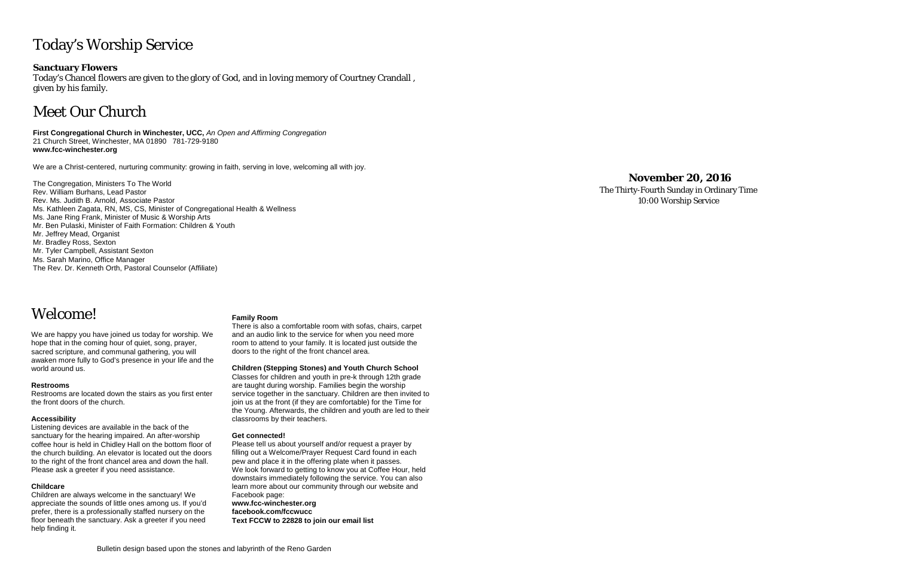# Today's Worship Service

## **Sanctuary Flowers**

Today's Chancel flowers are given to the glory of God, and in loving memory of Courtney Crandall , given by his family.

# Meet Our Church

**First Congregational Church in Winchester, UCC,** *An Open and Affirming Congregation* 21 Church Street, Winchester, MA 01890 781-729-9180 **www.fcc-winchester.org**

We are a Christ-centered, nurturing community: growing in faith, serving in love, welcoming all with joy.

The Congregation, Ministers To The World Rev. William Burhans, Lead Pastor Rev. Ms. Judith B. Arnold, Associate Pastor Ms. Kathleen Zagata, RN, MS, CS, Minister of Congregational Health & Wellness Ms. Jane Ring Frank, Minister of Music & Worship Arts Mr. Ben Pulaski, Minister of Faith Formation: Children & Youth Mr. Jeffrey Mead, Organist Mr. Bradley Ross, Sexton Mr. Tyler Campbell, Assistant Sexton Ms. Sarah Marino, Office Manager The Rev. Dr. Kenneth Orth, Pastoral Counselor (Affiliate)

Welcome!

We are happy you have joined us today for worship. We hope that in the coming hour of quiet, song, prayer, sacred scripture, and communal gathering, you will awaken more fully to God's presence in your life and the world around us.

### **Restrooms**

Restrooms are located down the stairs as you first enter the front doors of the church.

### **Accessibility**

Listening devices are available in the back of the sanctuary for the hearing impaired. An after-worship coffee hour is held in Chidley Hall on the bottom floor of the church building. An elevator is located out the doors to the right of the front chancel area and down the hall. Please ask a greeter if you need assistance.

### **Childcare**

Children are always welcome in the sanctuary! We appreciate the sounds of little ones among us. If you'd prefer, there is a professionally staffed nursery on the floor beneath the sanctuary. Ask a greeter if you need help finding it.

### **Family Room**

There is also a comfortable room with sofas, chairs, carpet and an audio link to the service for when you need more room to attend to your family. It is located just outside the doors to the right of the front chancel area.

**Children (Stepping Stones) and Youth Church School**

Classes for children and youth in pre-k through 12th grade are taught during worship. Families begin the worship service together in the sanctuary. Children are then invited to join us at the front (if they are comfortable) for the Time for the Young. Afterwards, the children and youth are led to their classrooms by their teachers.

### **Get connected!**

Please tell us about yourself and/or request a prayer by filling out a Welcome/Prayer Request Card found in each pew and place it in the offering plate when it passes. We look forward to getting to know you at Coffee Hour, held downstairs immediately following the service. You can also learn more about our community through our website and Facebook page:

**www.fcc-winchester.org facebook.com/fccwucc Text FCCW to 22828 to join our email list**

# **November 20, 2016**

The Thirty-Fourth Sunday in Ordinary Time 10:00 Worship Service